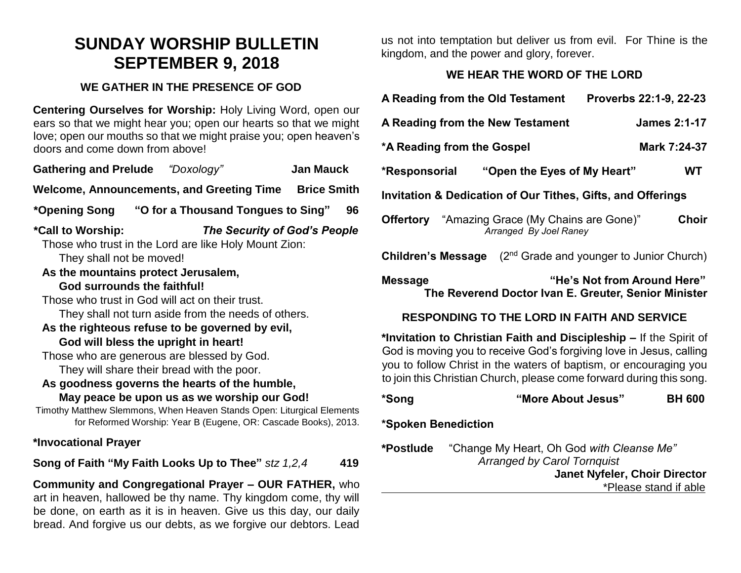# **SUNDAY WORSHIP BULLETIN SEPTEMBER 9, 2018**

## **WE GATHER IN THE PRESENCE OF GOD**

**Centering Ourselves for Worship:** Holy Living Word, open our ears so that we might hear you; open our hearts so that we might love; open our mouths so that we might praise you; open heaven's doors and come down from above!

**Gathering and Prelude** *"Doxology"* **Jan Mauck** Welcome, Announcements, and Greeting Time Brice Smith **\*Opening Song "O for a Thousand Tongues to Sing" 96 \*Call to Worship:** *The Security of God's People*  Those who trust in the Lord are like Holy Mount Zion:

They shall not be moved!

**As the mountains protect Jerusalem,**

#### **God surrounds the faithful!**

Those who trust in God will act on their trust.

They shall not turn aside from the needs of others.

#### **As the righteous refuse to be governed by evil, God will bless the upright in heart!**

Those who are generous are blessed by God.

They will share their bread with the poor.

#### **As goodness governs the hearts of the humble,**

#### **May peace be upon us as we worship our God!**

Timothy Matthew Slemmons, When Heaven Stands Open: Liturgical Elements for Reformed Worship: Year B (Eugene, OR: Cascade Books), 2013.

### **\*Invocational Prayer**

**Song of Faith "My Faith Looks Up to Thee"** *stz 1,2,4* **419**

**Community and Congregational Prayer – OUR FATHER,** who art in heaven, hallowed be thy name. Thy kingdom come, thy will be done, on earth as it is in heaven. Give us this day, our daily bread. And forgive us our debts, as we forgive our debtors. Lead us not into temptation but deliver us from evil. For Thine is the kingdom, and the power and glory, forever.

# **WE HEAR THE WORD OF THE LORD**

| A Reading from the Old Testament<br>Proverbs 22:1-9, 22-23                                                                                                                                                                                                                             |                                                                                 |  |               |
|----------------------------------------------------------------------------------------------------------------------------------------------------------------------------------------------------------------------------------------------------------------------------------------|---------------------------------------------------------------------------------|--|---------------|
| <b>James 2:1-17</b><br>A Reading from the New Testament                                                                                                                                                                                                                                |                                                                                 |  |               |
| *A Reading from the Gospel<br>Mark 7:24-37                                                                                                                                                                                                                                             |                                                                                 |  |               |
| *Responsorial                                                                                                                                                                                                                                                                          | "Open the Eyes of My Heart"                                                     |  | WT            |
| Invitation & Dedication of Our Tithes, Gifts, and Offerings                                                                                                                                                                                                                            |                                                                                 |  |               |
| <b>Offertory</b> "Amazing Grace (My Chains are Gone)"<br>Choir<br>Arranged By Joel Raney                                                                                                                                                                                               |                                                                                 |  |               |
| (2 <sup>nd</sup> Grade and younger to Junior Church)<br><b>Children's Message</b>                                                                                                                                                                                                      |                                                                                 |  |               |
| "He's Not from Around Here"<br><b>Message</b><br>The Reverend Doctor Ivan E. Greuter, Senior Minister                                                                                                                                                                                  |                                                                                 |  |               |
| <b>RESPONDING TO THE LORD IN FAITH AND SERVICE</b>                                                                                                                                                                                                                                     |                                                                                 |  |               |
| *Invitation to Christian Faith and Discipleship - If the Spirit of<br>God is moving you to receive God's forgiving love in Jesus, calling<br>you to follow Christ in the waters of baptism, or encouraging you<br>to join this Christian Church, please come forward during this song. |                                                                                 |  |               |
| *Song                                                                                                                                                                                                                                                                                  | "More About Jesus"                                                              |  | <b>BH 600</b> |
| *Spoken Benediction                                                                                                                                                                                                                                                                    |                                                                                 |  |               |
| *Postlude                                                                                                                                                                                                                                                                              | "Change My Heart, Oh God with Cleanse Me"<br><b>Arranged by Carol Tornquist</b> |  |               |

 **Janet Nyfeler, Choir Director** 

\*Please stand if able